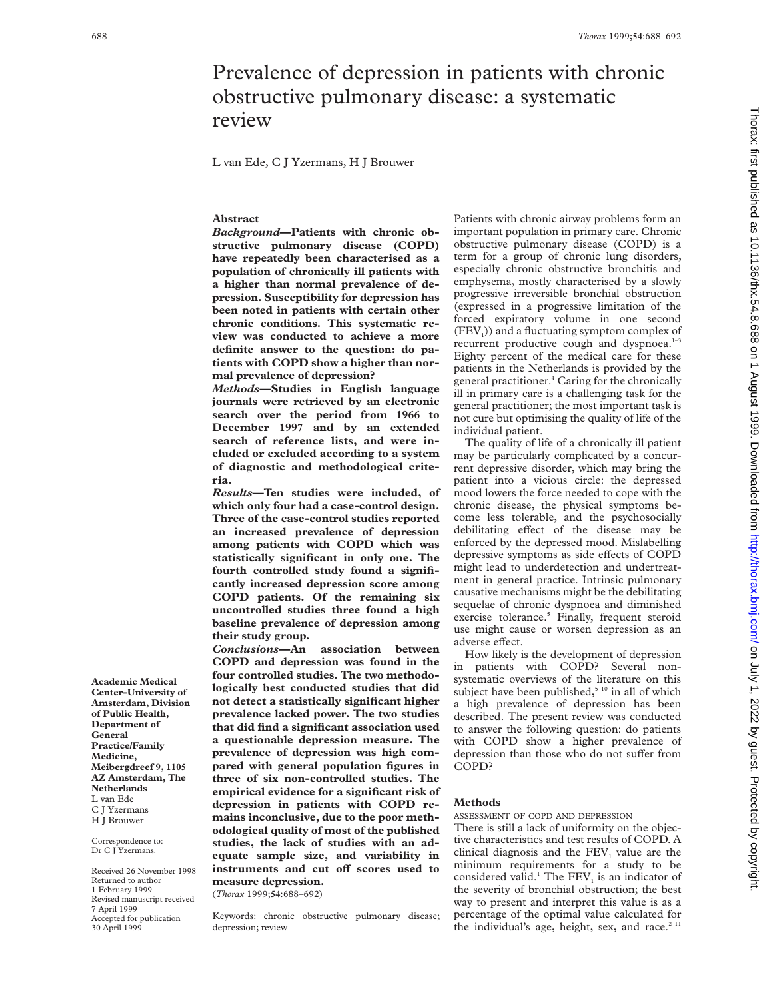# Prevalence of depression in patients with chronic obstructive pulmonary disease: a systematic review

L van Ede, C J Yzermans, H J Brouwer

## **Abstract**

*Background***—Patients with chronic obstructive pulmonary disease (COPD) have repeatedly been characterised as a population of chronically ill patients with a higher than normal prevalence of depression. Susceptibility for depression has been noted in patients with certain other chronic conditions. This systematic review was conducted to achieve a more definite answer to the question: do patients with COPD show a higher than normal prevalence of depression?**

*Methods***—Studies in English language journals were retrieved by an electronic search over the period from 1966 to December 1997 and by an extended search of reference lists, and were included or excluded according to a system of diagnostic and methodological criteria.**

*Results***—Ten studies were included, of which only four had a case-control design. Three of the case-control studies reported an increased prevalence of depression among patients with COPD which was statistically significant in only one. The fourth controlled study found a significantly increased depression score among COPD patients. Of the remaining six uncontrolled studies three found a high baseline prevalence of depression among their study group.**

*Conclusions***—An association between COPD and depression was found in the four controlled studies. The two methodologically best conducted studies that did not detect a statistically significant higher prevalence lacked power. The two studies that did find a significant association used a questionable depression measure. The prevalence of depression was high compared with general population figures in three of six non-controlled studies. The empirical evidence for a significant risk of depression in patients with COPD remains inconclusive, due to the poor methodological quality of most of the published studies, the lack of studies with an adequate sample size, and variability in** instruments and cut off scores used to **measure depression.**

(*Thorax* 1999;**54**:688–692)

Keywords: chronic obstructive pulmonary disease; depression; review

Patients with chronic airway problems form an important population in primary care. Chronic obstructive pulmonary disease (COPD) is a term for a group of chronic lung disorders, especially chronic obstructive bronchitis and emphysema, mostly characterised by a slowly progressive irreversible bronchial obstruction (expressed in a progressive limitation of the forced expiratory volume in one second  $(FEV<sub>1</sub>)$ ) and a fluctuating symptom complex of recurrent productive cough and dyspnoea. $1-3$ Eighty percent of the medical care for these patients in the Netherlands is provided by the general practitioner.<sup>4</sup> Caring for the chronically ill in primary care is a challenging task for the general practitioner; the most important task is not cure but optimising the quality of life of the individual patient.

The quality of life of a chronically ill patient may be particularly complicated by a concurrent depressive disorder, which may bring the patient into a vicious circle: the depressed mood lowers the force needed to cope with the chronic disease, the physical symptoms become less tolerable, and the psychosocially debilitating effect of the disease may be enforced by the depressed mood. Mislabelling depressive symptoms as side effects of COPD might lead to underdetection and undertreatment in general practice. Intrinsic pulmonary causative mechanisms might be the debilitating sequelae of chronic dyspnoea and diminished exercise tolerance.<sup>5</sup> Finally, frequent steroid use might cause or worsen depression as an adverse effect.

How likely is the development of depression in patients with COPD? Several nonsystematic overviews of the literature on this subject have been published, $5-10$  in all of which a high prevalence of depression has been described. The present review was conducted to answer the following question: do patients with COPD show a higher prevalence of depression than those who do not suffer from COPD?

## **Methods**

ASSESSMENT OF COPD AND DEPRESSION

There is still a lack of uniformity on the objective characteristics and test results of COPD. A clinical diagnosis and the  $FEV<sub>1</sub>$  value are the minimum requirements for a study to be considered valid.<sup>1</sup> The FEV<sub>1</sub> is an indicator of the severity of bronchial obstruction; the best way to present and interpret this value is as a percentage of the optimal value calculated for the individual's age, height, sex, and race. $2<sup>11</sup>$ 

**Center-University of Amsterdam, Division of Public Health, Department of General Practice/Family Medicine, Meibergdreef 9, 1105 AZ Amsterdam, The Netherlands** L van Ede C J Yzermans H J Brouwer

**Academic Medical**

Correspondence to: Dr C J Yzermans.

Received 26 November 1998 Returned to author 1 February 1999 Revised manuscript received 7 April 1999 Accepted for publication 30 April 1999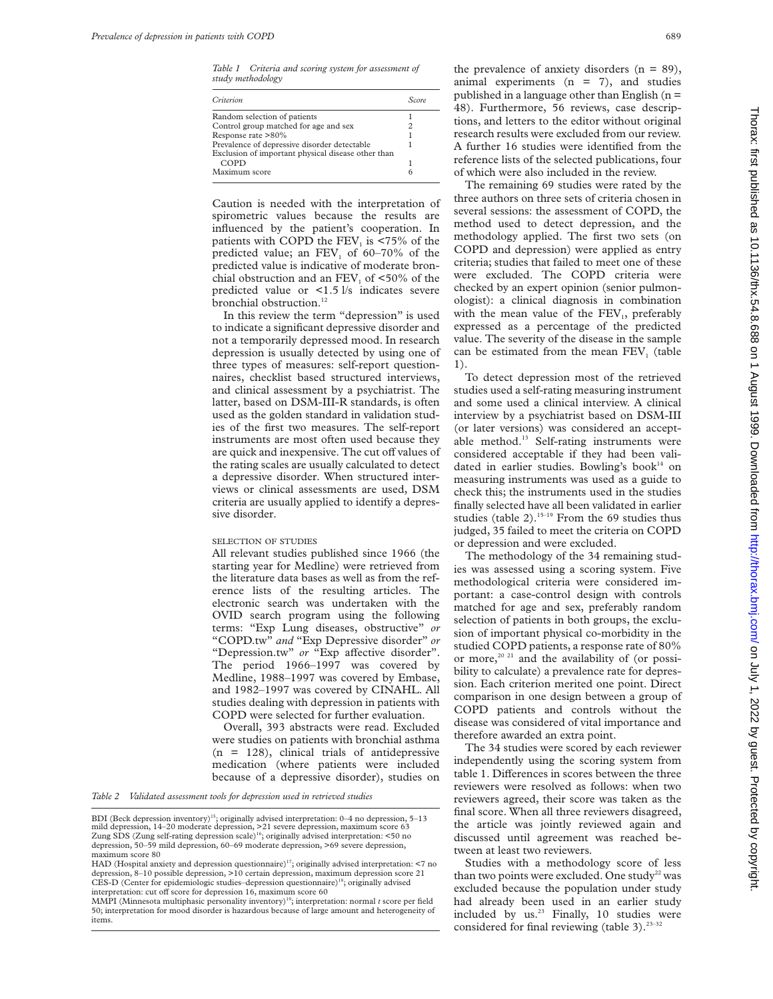*Table 1 Criteria and scoring system for assessment of study methodology*

| Criterion                                          | Score. |
|----------------------------------------------------|--------|
| Random selection of patients                       |        |
| Control group matched for age and sex              |        |
| Response rate >80%                                 |        |
| Prevalence of depressive disorder detectable       |        |
| Exclusion of important physical disease other than |        |
| COPD                                               |        |
| Maximum score                                      |        |

Caution is needed with the interpretation of spirometric values because the results are influenced by the patient's cooperation. In patients with COPD the  $FEV<sub>1</sub>$  is <75% of the predicted value; an  $FEV<sub>1</sub>$  of 60–70% of the predicted value is indicative of moderate bronchial obstruction and an  $FEV<sub>1</sub>$  of <50% of the predicted value or <1.5 l/s indicates severe bronchial obstruction.<sup>12</sup>

In this review the term "depression" is used to indicate a significant depressive disorder and not a temporarily depressed mood. In research depression is usually detected by using one of three types of measures: self-report questionnaires, checklist based structured interviews, and clinical assessment by a psychiatrist. The latter, based on DSM-III-R standards, is often used as the golden standard in validation studies of the first two measures. The self-report instruments are most often used because they are quick and inexpensive. The cut off values of the rating scales are usually calculated to detect a depressive disorder. When structured interviews or clinical assessments are used, DSM criteria are usually applied to identify a depressive disorder.

#### SELECTION OF STUDIES

All relevant studies published since 1966 (the starting year for Medline) were retrieved from the literature data bases as well as from the reference lists of the resulting articles. The electronic search was undertaken with the OVID search program using the following terms: "Exp Lung diseases, obstructive" *or* "COPD.tw" *and* "Exp Depressive disorder" *or* "Depression.tw" or "Exp affective disorder". The period 1966–1997 was covered by Medline, 1988–1997 was covered by Embase, and 1982–1997 was covered by CINAHL. All studies dealing with depression in patients with COPD were selected for further evaluation.

Overall, 393 abstracts were read. Excluded were studies on patients with bronchial asthma  $(n = 128)$ , clinical trials of antidepressive medication (where patients were included because of a depressive disorder), studies on

*Table 2 Validated assessment tools for depression used in retrieved studies*

the prevalence of anxiety disorders  $(n = 89)$ , animal experiments  $(n = 7)$ , and studies published in a language other than English ( $n =$ 48). Furthermore, 56 reviews, case descriptions, and letters to the editor without original research results were excluded from our review. A further 16 studies were identified from the reference lists of the selected publications, four of which were also included in the review.

The remaining 69 studies were rated by the three authors on three sets of criteria chosen in several sessions: the assessment of COPD, the method used to detect depression, and the methodology applied. The first two sets (on COPD and depression) were applied as entry criteria; studies that failed to meet one of these were excluded. The COPD criteria were checked by an expert opinion (senior pulmonologist): a clinical diagnosis in combination with the mean value of the  $FEV<sub>1</sub>$ , preferably expressed as a percentage of the predicted value. The severity of the disease in the sample can be estimated from the mean  $FEV<sub>1</sub>$  (table 1).

To detect depression most of the retrieved studies used a self-rating measuring instrument and some used a clinical interview. A clinical interview by a psychiatrist based on DSM-III (or later versions) was considered an acceptable method.<sup>13</sup> Self-rating instruments were considered acceptable if they had been validated in earlier studies. Bowling's book<sup>14</sup> on measuring instruments was used as a guide to check this; the instruments used in the studies finally selected have all been validated in earlier studies (table 2).<sup>15-19</sup> From the 69 studies thus judged, 35 failed to meet the criteria on COPD or depression and were excluded.

The methodology of the 34 remaining studies was assessed using a scoring system. Five methodological criteria were considered important: a case-control design with controls matched for age and sex, preferably random selection of patients in both groups, the exclusion of important physical co-morbidity in the studied COPD patients, a response rate of 80% or more,<sup>20 21</sup> and the availability of (or possibility to calculate) a prevalence rate for depression. Each criterion merited one point. Direct comparison in one design between a group of COPD patients and controls without the disease was considered of vital importance and therefore awarded an extra point.

The 34 studies were scored by each reviewer independently using the scoring system from table 1. Differences in scores between the three reviewers were resolved as follows: when two reviewers agreed, their score was taken as the final score. When all three reviewers disagreed, the article was jointly reviewed again and discussed until agreement was reached between at least two reviewers.

Studies with a methodology score of less than two points were excluded. One study<sup>22</sup> was excluded because the population under study had already been used in an earlier study included by us.<sup>23</sup> Finally, 10 studies were considered for final reviewing (table 3).<sup>23-32</sup>

BDI (Beck depression inventory)<sup>15</sup>; originally advised interpretation: 0-4 no depression, 5-13 mild depression, 14–20 moderate depression, >21 severe depression, maximum score 63<br>Zung SDS (Zung self-rating depression scale)<sup>16</sup>; originally advised interpretation: <50 no depression, 50–59 mild depression, 60–69 moderate depression, >69 severe depression, maximum score 80

HAD (Hospital anxiety and depression questionnaire)<sup>17</sup>; originally advised interpretation:  $\leq 7$  no depression, 8–10 possible depression, >10 certain depression, maximum depression score 21 CES-D (Center for epidemiologic studies-depression questionnaire)<sup>18</sup>; originally advised interpretation: cut off score for depression 16, maximum score 60

MMPI (Minnesota multiphasic personality inventory)19; interpretation: normal *t* score per field 50; interpretation for mood disorder is hazardous because of large amount and heterogeneity of items.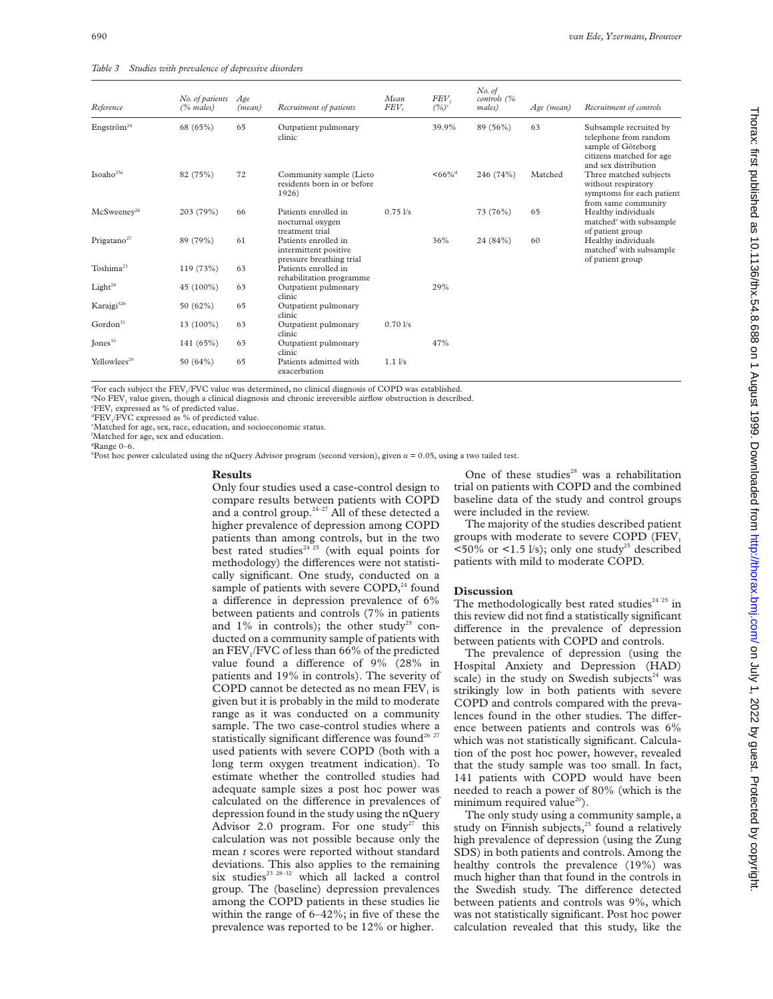| Table 3 Studies with prevalence of depressive disorders |  |  |  |
|---------------------------------------------------------|--|--|--|
|---------------------------------------------------------|--|--|--|

| Reference                | No. of patients<br>$(%$ males) | Age<br>(mean) | Recruitment of patients                                                   | Mean<br>FEV <sub>t</sub> | FEV,<br>$(%)^c$      | No. of<br>controls (%<br>males) | Age (mean) | Recruitment of controls                                                                                                   |
|--------------------------|--------------------------------|---------------|---------------------------------------------------------------------------|--------------------------|----------------------|---------------------------------|------------|---------------------------------------------------------------------------------------------------------------------------|
| Engström <sup>24</sup>   | 68 (65%)                       | 65            | Outpatient pulmonary<br>clinic                                            |                          | 39.9%                | 89 (56%)                        | 63         | Subsample recruited by<br>telephone from random<br>sample of Göteborg<br>citizens matched for age<br>and sex distribution |
| Isoaho $25a$             | 82 (75%)                       | 72            | Community sample (Lieto<br>residents born in or before<br>1926)           |                          | $<66\%$ <sup>d</sup> | 246 (74%)                       | Matched    | Three matched subjects<br>without respiratory<br>symptoms for each patient<br>from same community                         |
| McSweenev <sup>26</sup>  | 203 (79%)                      | 66            | Patients enrolled in<br>nocturnal oxygen<br>treatment trial               | $0.75$ $1/s$             |                      | 73 (76%)                        | 65         | Healthy individuals<br>matched <sup>e</sup> with subsample<br>of patient group                                            |
| Prigatano $27$           | 89 (79%)                       | 61            | Patients enrolled in<br>intermittent positive<br>pressure breathing trial |                          | 36%                  | 24 (84%)                        | 60         | Healthy individuals<br>matched <sup>f</sup> with subsample<br>of patient group                                            |
| Toshima <sup>23</sup>    | 119 (73%)                      | 63            | Patients enrolled in<br>rehabilitation programme                          |                          |                      |                                 |            |                                                                                                                           |
| Light <sup>28</sup>      | 45 (100%)                      | 63            | Outpatient pulmonary<br>clinic                                            |                          | 29%                  |                                 |            |                                                                                                                           |
| Karajgi <sup>32b</sup>   | 50 (62%)                       | 65            | Outpatient pulmonary<br>clinic                                            |                          |                      |                                 |            |                                                                                                                           |
| Gordon <sup>31</sup>     | 13 (100%)                      | 63            | Outpatient pulmonary<br>clinic                                            | 0.701/s                  |                      |                                 |            |                                                                                                                           |
| Jones <sup>30</sup>      | 141 (65%)                      | 63            | Outpatient pulmonary<br>clinic                                            |                          | 47%                  |                                 |            |                                                                                                                           |
| Yellowlees <sup>29</sup> | 50 $(64%)$                     | 65            | Patients admitted with<br>exacerbation                                    | $1.1$ $1/s$              |                      |                                 |            |                                                                                                                           |

 ${}^{\circ}\text{For each subject the FEV}_1/\text{FVC}$  value was determined, no clinical diagnosis of COPD was established.<br> ${}^{\circ}\text{Na}$  EEV, value given, though a clinical diagnosis and chronic irreversible airflow obstruction is describ

 $b$ No FEV<sub>1</sub> value given, though a clinical diagnosis and chronic irreversible airflow obstruction is described.

 $E$ FEV<sub>1</sub> expressed as % of predicted value.

 ${}^{\text{d}}$ FEV./FVC expressed as % of predicted value.

Matched for age, sex, race, education, and socioeconomic status.

f Matched for age, sex and education.

g Range 0–6.

hPost hoc power calculated using the nQuery Advisor program (second version), given  $\alpha = 0.05$ , using a two tailed test.

#### **Results**

Only four studies used a case-control design to compare results between patients with COPD and a control group.<sup>24-27</sup> All of these detected a higher prevalence of depression among COPD patients than among controls, but in the two best rated studies<sup>24 $25$ </sup> (with equal points for methodology) the differences were not statistically significant. One study, conducted on a sample of patients with severe  $COPD<sub>1</sub><sup>24</sup>$  found a difference in depression prevalence of  $6\%$ between patients and controls (7% in patients and  $1\%$  in controls); the other study<sup>25</sup> conducted on a community sample of patients with an FEV $/$ FVC of less than 66% of the predicted value found a difference of  $9\%$  (28% in patients and 19% in controls). The severity of COPD cannot be detected as no mean  $FEV<sub>1</sub>$  is given but it is probably in the mild to moderate range as it was conducted on a community sample. The two case-control studies where a statistically significant difference was found<sup>26 27</sup> used patients with severe COPD (both with a long term oxygen treatment indication). To estimate whether the controlled studies had adequate sample sizes a post hoc power was calculated on the difference in prevalences of depression found in the study using the nQuery Advisor 2.0 program. For one study<sup>27</sup> this calculation was not possible because only the mean *t* scores were reported without standard deviations. This also applies to the remaining six studies<sup>23 28-32</sup> which all lacked a control group. The (baseline) depression prevalences among the COPD patients in these studies lie within the range of 6–42%; in five of these the prevalence was reported to be 12% or higher.

One of these studies<sup>28</sup> was a rehabilitation trial on patients with COPD and the combined baseline data of the study and control groups were included in the review.

The majority of the studies described patient groups with moderate to severe COPD (FEV,  $\langle 50\% \text{ or } \langle 1.5 \text{ l/s} \rangle$ ; only one study<sup>25</sup> described patients with mild to moderate COPD.

### **Discussion**

The methodologically best rated studies<sup>24 25</sup> in this review did not find a statistically significant difference in the prevalence of depression between patients with COPD and controls.

The prevalence of depression (using the Hospital Anxiety and Depression (HAD) scale) in the study on Swedish subjects $24$  was strikingly low in both patients with severe COPD and controls compared with the prevalences found in the other studies. The difference between patients and controls was 6% which was not statistically significant. Calculation of the post hoc power, however, revealed that the study sample was too small. In fact, 141 patients with COPD would have been needed to reach a power of 80% (which is the minimum required value $^{20}$ ).

The only study using a community sample, a study on Finnish subjects, $25$  found a relatively high prevalence of depression (using the Zung SDS) in both patients and controls. Among the healthy controls the prevalence (19%) was much higher than that found in the controls in the Swedish study. The difference detected between patients and controls was 9%, which was not statistically significant. Post hoc power calculation revealed that this study, like the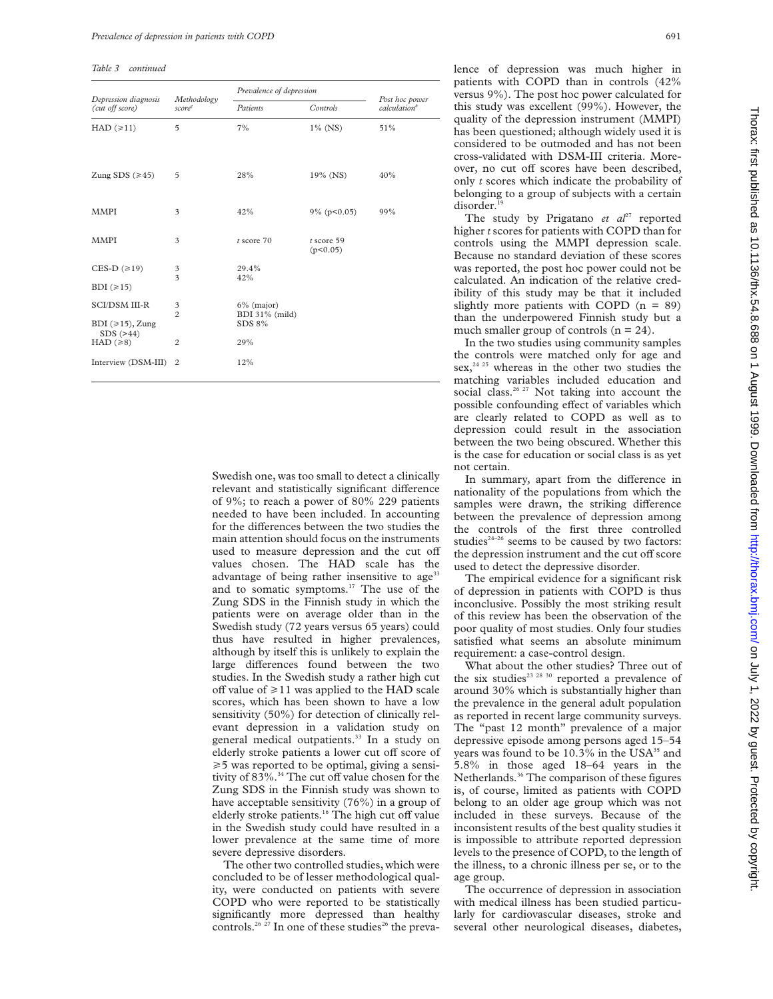*Table 3 continued*

| Depression diagnosis<br>(cut off score)        | Methodology<br>score®         | Prevalence of depression                  |                          |                                            |
|------------------------------------------------|-------------------------------|-------------------------------------------|--------------------------|--------------------------------------------|
|                                                |                               | Patients                                  | Controls                 | Post hoc power<br>calculation <sup>h</sup> |
| $HAD (\ge 11)$                                 | $\overline{5}$                | 7%                                        | $1\%$ (NS)               | 51%                                        |
| Zung SDS $(\geq 45)$                           | 5                             | 28%                                       | 19% (NS)                 | 40%                                        |
| <b>MMPI</b>                                    | 3                             | 42%                                       | 9% (p<0.05)              | 99%                                        |
| <b>MMPI</b>                                    | 3                             | $t$ score $70$                            | $t$ score 59<br>(p<0.05) |                                            |
| CES-D $(\geq 19)$<br>BDI $(\geq 15)$           | 3<br>$\overline{\mathbf{3}}$  | 29.4%<br>42%                              |                          |                                            |
| <b>SCI/DSM III-R</b><br>BDI $(\geq 15)$ , Zung | 3<br>$\overline{\mathcal{L}}$ | $6\%$ (major)<br>BDI 31% (mild)<br>SDS 8% |                          |                                            |
| SDS (>44)<br>HAD $(\ge 8)$                     | $\overline{2}$                | 29%                                       |                          |                                            |
| Interview (DSM-III)                            | $\overline{c}$                | 12%                                       |                          |                                            |

Swedish one, was too small to detect a clinically relevant and statistically significant difference of 9%; to reach a power of 80% 229 patients needed to have been included. In accounting for the differences between the two studies the main attention should focus on the instruments used to measure depression and the cut off values chosen. The HAD scale has the advantage of being rather insensitive to age<sup>33</sup> and to somatic symptoms. $17$  The use of the Zung SDS in the Finnish study in which the patients were on average older than in the Swedish study (72 years versus 65 years) could thus have resulted in higher prevalences, although by itself this is unlikely to explain the large differences found between the two studies. In the Swedish study a rather high cut off value of  $\geq 11$  was applied to the HAD scale scores, which has been shown to have a low sensitivity (50%) for detection of clinically relevant depression in a validation study on general medical outpatients.<sup>33</sup> In a study on elderly stroke patients a lower cut off score of  $\geq$  5 was reported to be optimal, giving a sensitivity of 83%.<sup>34</sup> The cut off value chosen for the Zung SDS in the Finnish study was shown to have acceptable sensitivity (76%) in a group of elderly stroke patients.<sup>16</sup> The high cut off value in the Swedish study could have resulted in a lower prevalence at the same time of more severe depressive disorders.

The other two controlled studies, which were concluded to be of lesser methodological quality, were conducted on patients with severe COPD who were reported to be statistically significantly more depressed than healthy controls.<sup>26</sup> <sup>27</sup> In one of these studies<sup>26</sup> the prevalence of depression was much higher in patients with COPD than in controls (42% versus 9%). The post hoc power calculated for this study was excellent (99%). However, the quality of the depression instrument (MMPI) has been questioned; although widely used it is considered to be outmoded and has not been cross-validated with DSM-III criteria. Moreover, no cut off scores have been described, only *t* scores which indicate the probability of belonging to a group of subjects with a certain disorder.

The study by Prigatano *et al*<sup>27</sup> reported higher *t* scores for patients with COPD than for controls using the MMPI depression scale. Because no standard deviation of these scores was reported, the post hoc power could not be calculated. An indication of the relative credibility of this study may be that it included slightly more patients with COPD  $(n = 89)$ than the underpowered Finnish study but a much smaller group of controls  $(n = 24)$ .

In the two studies using community samples the controls were matched only for age and sex,<sup>24 25</sup> whereas in the other two studies the matching variables included education and social class.<sup>26, 27</sup> Not taking into account the possible confounding effect of variables which are clearly related to COPD as well as to depression could result in the association between the two being obscured. Whether this is the case for education or social class is as yet not certain.

In summary, apart from the difference in nationality of the populations from which the samples were drawn, the striking difference between the prevalence of depression among the controls of the first three controlled studies $24-26$  seems to be caused by two factors: the depression instrument and the cut off score used to detect the depressive disorder.

The empirical evidence for a significant risk of depression in patients with COPD is thus inconclusive. Possibly the most striking result of this review has been the observation of the poor quality of most studies. Only four studies satisfied what seems an absolute minimum requirement: a case-control design.

What about the other studies? Three out of the six studies<sup>23 28 30</sup> reported a prevalence of around 30% which is substantially higher than the prevalence in the general adult population as reported in recent large community surveys. The "past 12 month" prevalence of a major depressive episode among persons aged 15–54 years was found to be  $10.3\%$  in the USA<sup>35</sup> and 5.8% in those aged 18–64 years in the Netherlands.<sup>36</sup> The comparison of these figures is, of course, limited as patients with COPD belong to an older age group which was not included in these surveys. Because of the inconsistent results of the best quality studies it is impossible to attribute reported depression levels to the presence of COPD, to the length of the illness, to a chronic illness per se, or to the age group.

The occurrence of depression in association with medical illness has been studied particularly for cardiovascular diseases, stroke and several other neurological diseases, diabetes,